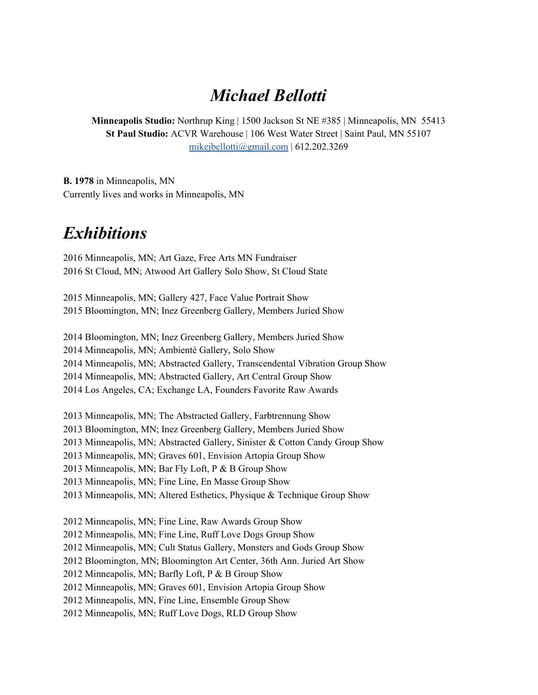#### *Michael Bellotti*

**Minneapolis Studio:** Northrup King | 1500 Jackson St NE #385 | Minneapolis, MN 55413 **St Paul Studio:** ACVR Warehouse | 106 West Water Street | Saint Paul, MN 55107 [mikejbellotti@gmail.com](mailto:mikejbellotti@gmail.com) | 612.202.3269

**B. 1978** in Minneapolis, MN Currently lives and works in Minneapolis, MN

#### *Exhibitions*

 Minneapolis, MN; Art Gaze, Free Arts MN Fundraiser St Cloud, MN; Atwood Art Gallery Solo Show, St Cloud State

 Minneapolis, MN; Gallery 427, Face Value Portrait Show Bloomington, MN; Inez Greenberg Gallery, Members Juried Show

 Bloomington, MN; Inez Greenberg Gallery, Members Juried Show Minneapolis, MN; Ambienté Gallery, Solo Show Minneapolis, MN; Abstracted Gallery, Transcendental Vibration Group Show Minneapolis, MN; Abstracted Gallery, Art Central Group Show Los Angeles, CA; Exchange LA, Founders Favorite Raw Awards

 Minneapolis, MN; The Abstracted Gallery, Farbtrennung Show Bloomington, MN; Inez Greenberg Gallery, Members Juried Show Minneapolis, MN; Abstracted Gallery, Sinister & Cotton Candy Group Show Minneapolis, MN; Graves 601, Envision Artopia Group Show Minneapolis, MN; Bar Fly Loft, P & B Group Show Minneapolis, MN; Fine Line, En Masse Group Show Minneapolis, MN; Altered Esthetics, Physique & Technique Group Show

 Minneapolis, MN; Fine Line, Raw Awards Group Show Minneapolis, MN; Fine Line, Ruff Love Dogs Group Show Minneapolis, MN; Cult Status Gallery, Monsters and Gods Group Show Bloomington, MN; Bloomington Art Center, 36th Ann. Juried Art Show Minneapolis, MN; Barfly Loft, P & B Group Show Minneapolis, MN; Graves 601, Envision Artopia Group Show Minneapolis, MN, Fine Line, Ensemble Group Show Minneapolis, MN; Ruff Love Dogs, RLD Group Show